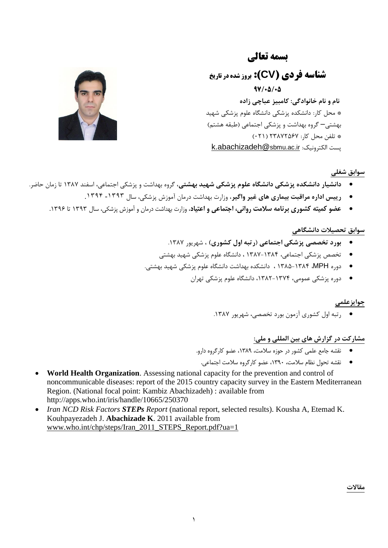# **بسمه تعالی**

**شناسه فردي )CV): بروز شده در تاریخ 97/50/50** نام و نام خانوادگی: کامبیز عباچی زاده \* محل کار: دانشکده پزشکی دانشگاه علوم پزشکی شهید بهشتی– گروه بهداشت و پزشکی اجتماعی (طبقه هشتم) \* تلفي هحل کار: 76527832 )170( [k.abachizadeh@](mailto:k.abachizadeh@sbmu.ac.ir)sbmu.ac.ir :یكًٍالکتر پست



**سوابق شغلی**

- **دانشیار دانشکده پزشکی دانشگاه علوم پزشکی شهید بهشتی،** گروه بهداشت و پزشکی اجتماعی، اسفند ۱۳۸۷ تا زمان حاضر.
	- **رییس اداره مراقبت بیماری های غیر واگیر**، وزارت بهداشت درمان آموزش پزشکی، سال ۱۳۹۳- ۱۳۹۴.
	- **عضو کمیته کشوری برنامه سالمت روانی، اجتماعی و اعتیاد**، وزارت بهداشت درمان و آموزش پسشکی، سال 0636 تا .0633

## **سوابق تحصیالت دانشگاهی**

- **بورد تخصصی پزشکی اجتماعی (رتبه اول کشوری) ،** شهریور ۱۳۸۷.
- تخصص پزشکی اجتماعی، ۱۳۸۴-۱۳۸۷ ، دانشگاه علوم پزشکی شهید بهشتی
- دوره MPH، ۱۳۸۴-۱۳۸۵ ، دانشکده بهداشت دانشگاه علوم پزشکی شهید بهشتی.
	- دوره پزشکی عمومی، ۱۳۷۴-۱۳۸۲، دانشگاه علوم پزشکی تهران

### جوایزعلم*ی*

• رتبه اول کشوری آزمون بورد تخصصی، شهريور ١٣٨٧.

# **مشارکت در گسارش های بین المللی و ملی:**

- نقشه جامع علمی کشور در حوزه سالمت، ،9831 عضو کارگروه دارو.
	- نقشه تحول نظام سالمت، ،9811 عضو کارگروه سالمت اجتماعی.
- **World Health Organization**. Assessing national capacity for the prevention and control of noncommunicable diseases: report of the 2015 country capacity survey in the Eastern Mediterranean Region. (National focal point: Kambiz Abachizadeh) : available from http://apps.who.int/iris/handle/10665/250370
- *Iran NCD Risk Factors STEPs Report* (national report, selected results). Kousha A, Etemad K. Kouhpayezadeh J. **Abachizade K**. 2011 available from [www.who.int/chp/steps/Iran\\_2011\\_STEPS\\_Report.pdf?ua=1](http://www.who.int/chp/steps/Iran_2011_STEPS_Report.pdf?ua=1)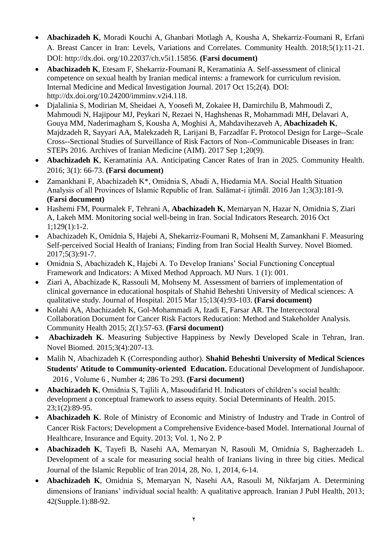- **Abachizadeh K**, Moradi Kouchi A, Ghanbari Motlagh A, Kousha A, Shekarriz-Foumani R, Erfani A. Breast Cancer in Iran: Levels, Variations and Correlates. Community Health. 2018;5(1):11-21. DOI: http://dx.doi. org/10.22037/ch.v5i1.15856. **(Farsi document)**
- **Abachizadeh K**, Etesam F, Shekarriz-Foumani R, Keramatinia A. Self-assessment of clinical competence on sexual health by Iranian medical interns: a framework for curriculum revision. Internal Medicine and Medical Investigation Journal. 2017 Oct 15;2(4). DOI: [http://dx.doi.org/10.24200/imminv.v2i4.118.](http://dx.doi.org/10.24200/imminv.v2i4.118)
- [Djalalinia S,](https://www.ncbi.nlm.nih.gov/pubmed/?term=Djalalinia%20S%5BAuthor%5D&cauthor=true&cauthor_uid=29048923) [Modirian M,](https://www.ncbi.nlm.nih.gov/pubmed/?term=Modirian%20M%5BAuthor%5D&cauthor=true&cauthor_uid=29048923) [Sheidaei A,](https://www.ncbi.nlm.nih.gov/pubmed/?term=Sheidaei%20A%5BAuthor%5D&cauthor=true&cauthor_uid=29048923) [Yoosefi M,](https://www.ncbi.nlm.nih.gov/pubmed/?term=Yoosefi%20M%5BAuthor%5D&cauthor=true&cauthor_uid=29048923) [Zokaiee H,](https://www.ncbi.nlm.nih.gov/pubmed/?term=Zokaiee%20H%5BAuthor%5D&cauthor=true&cauthor_uid=29048923) [Damirchilu B,](https://www.ncbi.nlm.nih.gov/pubmed/?term=Damirchilu%20B%5BAuthor%5D&cauthor=true&cauthor_uid=29048923) [Mahmoudi Z,](https://www.ncbi.nlm.nih.gov/pubmed/?term=Mahmoudi%20Z%5BAuthor%5D&cauthor=true&cauthor_uid=29048923) [Mahmoudi N,](https://www.ncbi.nlm.nih.gov/pubmed/?term=Mahmoudi%20N%5BAuthor%5D&cauthor=true&cauthor_uid=29048923) [Hajipour MJ,](https://www.ncbi.nlm.nih.gov/pubmed/?term=Hajipour%20MJ%5BAuthor%5D&cauthor=true&cauthor_uid=29048923) [Peykari N,](https://www.ncbi.nlm.nih.gov/pubmed/?term=Peykari%20N%5BAuthor%5D&cauthor=true&cauthor_uid=29048923) [Rezaei N,](https://www.ncbi.nlm.nih.gov/pubmed/?term=Rezaei%20N%5BAuthor%5D&cauthor=true&cauthor_uid=29048923) [Haghshenas R,](https://www.ncbi.nlm.nih.gov/pubmed/?term=Haghshenas%20R%5BAuthor%5D&cauthor=true&cauthor_uid=29048923) [Mohammadi MH,](https://www.ncbi.nlm.nih.gov/pubmed/?term=Mohammadi%20MH%5BAuthor%5D&cauthor=true&cauthor_uid=29048923) [Delavari A,](https://www.ncbi.nlm.nih.gov/pubmed/?term=Delavari%20A%5BAuthor%5D&cauthor=true&cauthor_uid=29048923) [Gouya MM,](https://www.ncbi.nlm.nih.gov/pubmed/?term=Gouya%20MM%5BAuthor%5D&cauthor=true&cauthor_uid=29048923) [Naderimagham S,](https://www.ncbi.nlm.nih.gov/pubmed/?term=Naderimagham%20S%5BAuthor%5D&cauthor=true&cauthor_uid=29048923) [Kousha](https://www.ncbi.nlm.nih.gov/pubmed/?term=Kousha%20A%5BAuthor%5D&cauthor=true&cauthor_uid=29048923) A, [Moghisi A,](https://www.ncbi.nlm.nih.gov/pubmed/?term=Moghisi%20A%5BAuthor%5D&cauthor=true&cauthor_uid=29048923) [Mahdavihezaveh A,](https://www.ncbi.nlm.nih.gov/pubmed/?term=Mahdavihezaveh%20A%5BAuthor%5D&cauthor=true&cauthor_uid=29048923) **[Abachizadeh K](https://www.ncbi.nlm.nih.gov/pubmed/?term=Abachizadeh%20K%5BAuthor%5D&cauthor=true&cauthor_uid=29048923)**, [Majdzadeh R,](https://www.ncbi.nlm.nih.gov/pubmed/?term=Majdzadeh%20R%5BAuthor%5D&cauthor=true&cauthor_uid=29048923) [Sayyari AA,](https://www.ncbi.nlm.nih.gov/pubmed/?term=Sayyari%20AA%5BAuthor%5D&cauthor=true&cauthor_uid=29048923) [Malekzadeh R,](https://www.ncbi.nlm.nih.gov/pubmed/?term=Malekzadeh%20R%5BAuthor%5D&cauthor=true&cauthor_uid=29048923) [Larijani B,](https://www.ncbi.nlm.nih.gov/pubmed/?term=Larijani%20B%5BAuthor%5D&cauthor=true&cauthor_uid=29048923) [Farzadfar F](https://www.ncbi.nlm.nih.gov/pubmed/?term=Farzadfar%20F%5BAuthor%5D&cauthor=true&cauthor_uid=29048923)**.** Protocol Design for Large--Scale Cross--Sectional Studies of Surveillance of Risk Factors of Non--Communicable Diseases in Iran: STEPs 2016. Archives of Iranian Medicine (AIM). 2017 Sep 1;20(9).
- **Abachizadeh K**, Keramatinia AA. Anticipating Cancer Rates of Iran in 2025. Community Health. 2016; 3(1): 66-73. **(Farsi document)**
- Zamankhani F, Abachizadeh K\*, Omidnia S, Abadi A, Hiedarnia MA. Social Health Situation Analysis of all Provinces of Islamic Republic of Iran. Salāmat-i ijtimār, 2016 Jan 1;3(3):181-9. **(Farsi document)**
- Hashemi FM, Pourmalek F, Tehrani A, **Abachizadeh K**, Memaryan N, Hazar N, Omidnia S, Ziari A, Lakeh MM. Monitoring social well-being in Iran. Social Indicators Research. 2016 Oct 1;129(1):1-2.
- Abachizadeh K, Omidnia S, Hajebi A, Shekarriz-Foumani R, Mohseni M, Zamankhani F. Measuring Self-perceived Social Health of Iranians; Finding from Iran Social Health Survey. Novel Biomed. 2017;5(3):91-7.
- Omidnia S, Abachizadeh K, Hajebi A. To Develop Iranians' Social Functioning Conceptual Framework and Indicators: A Mixed Method Approach. MJ Nurs. 1 (1): 001.
- Ziari A, Abachizade K, Rassouli M, Mohseny M. Assessment of barriers of implementation of clinical governance in educational hospitals of Shahid Beheshti University of Medical sciences: A qualitative study. Journal of Hospital. 2015 Mar 15;13(4):93-103. **(Farsi document)**
- Kolahi AA, Abachizadeh K, Gol-Mohammadi A, Izadi E, Farsar AR. The Intercectoral Collaboration Document for Cancer Risk Factors Reducation: Method and Stakeholder Analysis. Community Health 2015; 2(1):57-63. **(Farsi document)**
- **Abachizadeh K**. Measuring Subjective Happiness by Newly Developed Scale in Tehran, Iran. Novel Biomed. 2015;3(4):207-13.
- [Malih](http://www.sid.ir/En/Journal/SearchPaper.aspx?writer=710669) N, [Abachizadeh](http://www.sid.ir/En/Journal/SearchPaper.aspx?writer=573008) K (Corresponding author). **Shahid Beheshti University of Medical Sciences Students' Atitude to Community-oriented Education.** Educational Development of [Jundishapoor.](http://www.sid.ir/En/Journal/JournalList.aspx?ID=17818) 2016 , Volume 6 , [Number](http://www.sid.ir/En/Journal/JournalListPaper.aspx?ID=234238) 4; 286 To 293. **(Farsi document)**
- Abachizadeh K, Omidnia S, Tajlili A, Masoudifarid H. Indicators of children's social health: development a conceptual framework to assess equity. Social Determinants of Health. 2015. 23;1(2):89-95.
- **Abachizadeh K**. Role of Ministry of Economic and Ministry of Industry and Trade in Control of Cancer Risk Factors; Development a Comprehensive Evidence-based Model. International Journal of Healthcare, Insurance and Equity. 2013; Vol. 1, No 2. P
- **Abachizadeh K**, Tayefi B, Nasehi AA, Memaryan N, Rasouli M, Omidnia S, Bagherzadeh L. Development of a scale for measuring social health of Iranians living in three big cities. Medical Journal of the Islamic Republic of Iran 2014, 28, No. 1, 2014, 6-14.
- **Abachizadeh K**, Omidnia S, Memaryan N, Nasehi AA, Rasouli M, Nikfarjam A. Determining dimensions of Iranians' individual social health: A qualitative approach. Iranian J Publ Health, 2013; 42(Supple.1):88-92.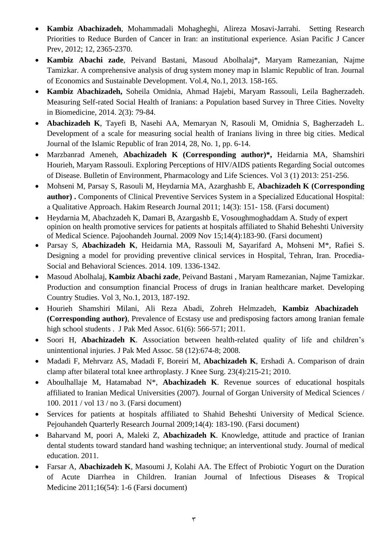- **Kambiz Abachizadeh**, Mohammadali Mohagheghi, Alireza Mosavi-Jarrahi. Setting Research Priorities to Reduce Burden of Cancer in Iran: an institutional experience. Asian Pacific J Cancer Prev, 2012; 12, 2365-2370.
- **Kambiz Abachi zade**, Peivand Bastani, Masoud Abolhalaj\*, Maryam Ramezanian, Najme Tamizkar. A comprehensive analysis of drug system money map in Islamic Republic of Iran. Journal of Economics and Sustainable Development. Vol.4, No.1, 2013. 158-165.
- **Kambiz Abachizadeh,** Soheila Omidnia, Ahmad Hajebi, Maryam Rassouli, Leila Bagherzadeh. Measuring Self-rated Social Health of Iranians: a Population based Survey in Three Cities. Novelty in Biomedicine, 2014. 2(3): 79-84.
- **Abachizadeh K**, Tayefi B, Nasehi AA, Memaryan N, Rasouli M, Omidnia S, Bagherzadeh L. Development of a scale for measuring social health of Iranians living in three big cities. Medical Journal of the Islamic Republic of Iran 2014, 28, No. 1, pp. 6-14.
- Marzbanrad Ameneh, **Abachizadeh K (Corresponding author)\*,** Heidarnia MA, Shamshiri Hourieh, Maryam Rassouli. Exploring Perceptions of HIV/AIDS patients Regarding Social outcomes of Disease. Bulletin of Environment, Pharmacology and Life Sciences. Vol 3 (1) 2013: 251-256.
- Mohseni M, Parsay S, Rasouli M, Heydarnia MA, Azarghashb E, **Abachizadeh K (Corresponding author) .** Components of Clinical Preventive Services System in a Specialized Educational Hospital: a Qualitative Approach. Hakim Research Journal 2011; 14(3): 151- 158. (Farsi document)
- Heydarnia M, Abachzadeh K, Damari B, Azargashb E, Vosoughmoghaddam A. Study of expert opinion on health promotive services for patients at hospitals affiliated to Shahid Beheshti University of Medical Science. Pajoohandeh Journal. 2009 Nov 15;14(4):183-90. (Farsi document)
- Parsay S, **Abachizadeh K**, Heidarnia MA, Rassouli M, Sayarifard A, Mohseni M\*, Rafiei S. Designing a model for providing preventive clinical services in Hospital, Tehran, Iran. Procedia-Social and Behavioral Sciences. 2014. 109. 1336-1342.
- Masoud Abolhalaj, **Kambiz Abachi zade**, Peivand Bastani , Maryam Ramezanian, Najme Tamizkar. Production and consumption financial Process of drugs in Iranian healthcare market. Developing Country Studies. Vol 3, No.1, 2013, 187-192.
- Hourieh Shamshiri Milani, Ali Reza Abadi, Zohreh Helmzadeh, **Kambiz Abachizadeh (Corresponding author)**, [Prevalence of Ecstasy use and predisposing factors among Iranian female](http://www.jpma.org.pk/full_article_text.php?article_id=2823)  [high school students .](http://www.jpma.org.pk/full_article_text.php?article_id=2823) J Pak Med Assoc. 61(6): 566-571; 2011.
- Soori H, **Abachizadeh K**. Association between health-related quality of life and children's unintentional injuries. J Pak Med Assoc. 58 (12):674-8; 2008.
- Madadi F, Mehrvarz AS, Madadi F, Boreiri M, **Abachizadeh K**, Ershadi A. Comparison of drain clamp after bilateral total knee arthroplasty. J Knee Surg. 23(4):215-21; 2010.
- Aboulhallaje M, Hatamabad N\*, **Abachizadeh K**. Revenue sources of educational hospitals affiliated to Iranian Medical Universities (2007). Journal of Gorgan University of Medical Sciences / 100. 2011 / vol 13 / no 3. (Farsi document)
- Services for patients at hospitals affiliated to Shahid Beheshti University of Medical Science. Pejouhandeh Quarterly Research Journal 2009;14(4): 183-190. (Farsi document)
- Baharvand M, poori A, Maleki Z, **Abachizadeh K**. Knowledge, attitude and practice of Iranian dental students toward standard hand washing technique; an interventional study. Journal of medical education. 2011.
- Farsar A, **Abachizadeh K**, Masoumi J, Kolahi AA. The Effect of Probiotic Yogurt on the Duration of Acute Diarrhea in Children. Iranian Journal of Infectious Diseases & Tropical Medicine 2011;16(54): 1-6 (Farsi document)